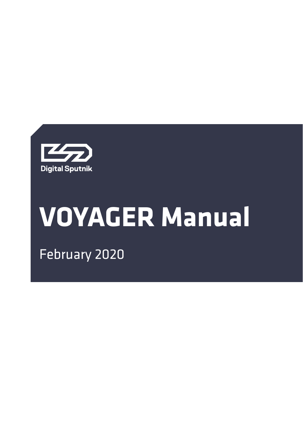

# **VOYAGER Manual**

February 2020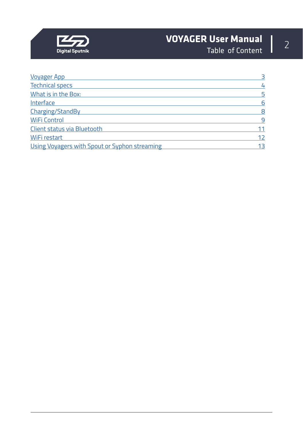

# **VOYAGER User Manual** 2<br>Table of Content 2

Table of Content

| <b>Voyager App</b>                            | $\overline{3}$ |
|-----------------------------------------------|----------------|
| <b>Technical specs</b>                        | 4              |
| What is in the Box:                           | 5              |
| Interface                                     | 6              |
| Charging/StandBy                              | 8              |
| <b>WiFi Control</b>                           | 9              |
| Client status via Bluetooth                   | 11             |
| WiFi restart                                  | 12             |
| Using Voyagers with Spout or Syphon streaming | 13             |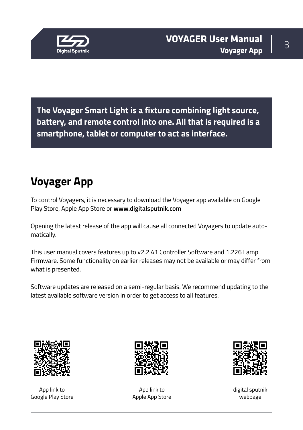<span id="page-2-0"></span>

**The Voyager Smart Light is a fixture combining light source, battery, and remote control into one. All that is required is a smartphone, tablet or computer to act as interface.**

# **Voyager App**

To control Voyagers, it is necessary to download the Voyager app available on Google Play Store, Apple App Store or **www.digitalsputnik.com**

Opening the latest release of the app will cause all connected Voyagers to update automatically.

This user manual covers features up to v2.2.41 Controller Software and 1.226 Lamp Firmware. Some functionality on earlier releases may not be available or may differ from what is presented.

Software updates are released on a semi-regular basis. We recommend updating to the latest available software version in order to get access to all features.



App link to Google Play Store



App link to Apple App Store



digital sputnik webpage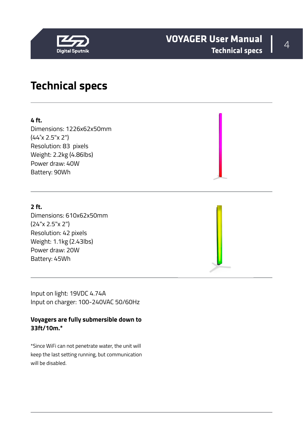<span id="page-3-0"></span>

#### <sup>4</sup> **VOYAGER User Manual Technical specs**

#### **Technical specs**

#### **4 ft.**

Dimensions: 1226x62x50mm (44"x 2.5"x 2") Resolution: 83 pixels Weight: 2.2kg (4.86lbs) Power draw: 40W Battery: 90Wh

#### **2 ft.**

Dimensions: 610x62x50mm (24"x 2.5"x 2") Resolution: 42 pixels Weight: 1.1kg (2.43lbs) Power draw: 20W Battery: 45Wh

Input on light: 19VDC 4.74A Input on charger: 100-240VAC 50/60Hz

#### **Voyagers are fully submersible down to 33ft/10m.\***

\*Since WiFi can not penetrate water, the unit will keep the last setting running, but communication will be disabled.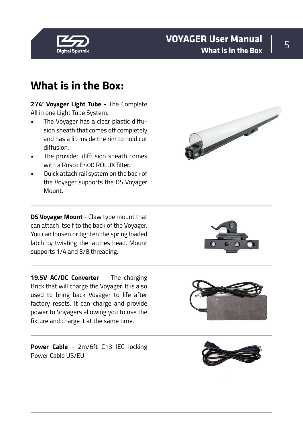<span id="page-4-0"></span>

#### <sup>5</sup> **VOYAGER User Manual What is in the Box**

## **What is in the Box:**

**2'/4' Voyager Light Tube** - The Complete All in one Light Tube System.

- The Voyager has a clear plastic diffusion sheath that comes off completely and has a lip inside the rim to hold cut diffusion.
- The provided diffusion sheath comes with a Rosco E400 ROLUX filter.
- Quick attach rail system on the back of the Voyager supports the DS Voyager Mount.

**DS Voyager Mount** - Claw type mount that can attach itself to the back of the Voyager. You can loosen or tighten the spring loaded latch by twisting the latches head. Mount supports 1/4 and 3/8 threading.

19.5V AC/DC Converter - The charging Brick that will charge the Voyager. It is also used to bring back Voyager to life after factory resets. It can charge and provide power to Voyagers allowing you to use the fixture and charge it at the same time.

**Power Cable** - 2m/6ft C13 IEC locking Power Cable US/EU





**Contract Contract Contract Contract Contract Contract Contract Contract Contract Contract Contract Contract Contract Contract Contract Contract Contract Contract Contract Contract Contract Contract Contract Contract Contr** 

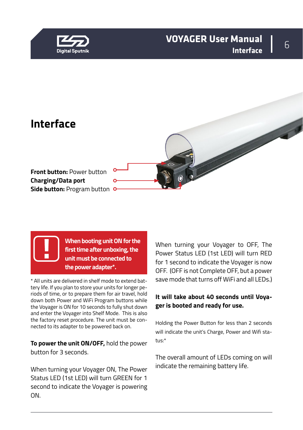<span id="page-5-0"></span>

#### <sup>6</sup> **VOYAGER User Manual Interface**





**When booting unit ON for the first time after unboxing, the unit must be connected to the power adapter\*.** 

\* All units are delivered in shelf mode to extend battery life. If you plan to store your units for longer periods of time, or to prepare them for air travel, hold down both Power and WiFi Program buttons while the Voyager is ON for 10 seconds to fully shut down and enter the Voyager into Shelf Mode. This is also the factory reset procedure. The unit must be connected to its adapter to be powered back on.

**To power the unit ON/OFF,** hold the power button for 3 seconds.

When turning your Voyager ON, The Power Status LED (1st LED) will turn GREEN for 1 second to indicate the Voyager is powering ON.

When turning your Voyager to OFF, The Power Status LED (1st LED) will turn RED for 1 second to indicate the Voyager is now OFF. (OFF is not Complete OFF, but a power save mode that turns off WiFi and all LEDs.)

#### **It will take about 40 seconds until Voyager is booted and ready for use.**

Holding the Power Button for less than 2 seconds will indicate the unit's Charge, Power and Wifi status:\*

The overall amount of LEDs coming on will indicate the remaining battery life.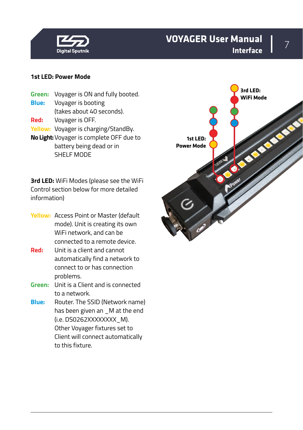

#### <sup>7</sup> **VOYAGER User Manual Interface**

#### **1st LED: Power Mode**

- **Green:** Voyager is ON and fully booted. **Blue:** Voyager is booting (takes about 40 seconds). **Red:** Voyager is OFF.
- **Yellow:** Voyager is charging/StandBy.
- **No Light:**Voyager is complete OFF due to battery being dead or in SHELF MODE

**3rd LED:** WiFi Modes (please see the WiFi Control section below for more detailed information)

- **Yellow:** Access Point or Master (default mode). Unit is creating its own WiFi network, and can be connected to a remote device.
- **Red:** Unit is a client and cannot automatically find a network to connect to or has connection problems.
- **Green:** Unit is a Client and is connected to a network.
- **Blue:** Router. The SSID (Network name) has been given an \_M at the end (i.e. DS0262XXXXXXXX M). Other Voyager fixtures set to Client will connect automatically to this fixture.

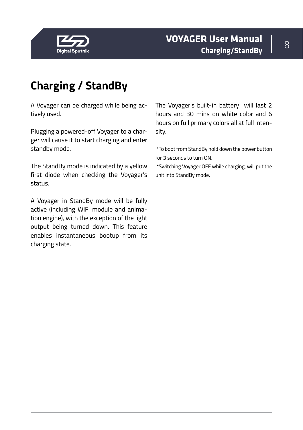<span id="page-7-0"></span>

# **Charging / StandBy**

A Voyager can be charged while being actively used.

Plugging a powered-off Voyager to a charger will cause it to start charging and enter standby mode.

The StandBy mode is indicated by a yellow first diode when checking the Voyager's status.

A Voyager in StandBy mode will be fully active (including WIFi module and animation engine), with the exception of the light output being turned down. This feature enables instantaneous bootup from its charging state.

The Voyager's built-in battery will last 2 hours and 30 mins on white color and 6 hours on full primary colors all at full intensity.

 \*To boot from StandBy hold down the power button for 3 seconds to turn ON.

 \*Switching Voyager OFF while charging, will put the unit into StandBy mode.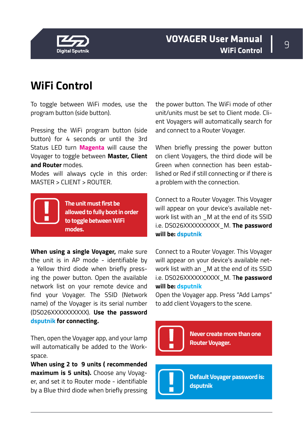<span id="page-8-0"></span>



## **WiFi Control**

To toggle between WiFi modes, use the program button (side button).

Pressing the WiFi program button (side button) for 4 seconds or until the 3rd Status LED turn **Magenta** will cause the Voyager to toggle between **Master, Client and Router** modes.

Modes will always cycle in this order: MASTER > CLIENT > ROUTER.

> **The unit must first be allowed to fully boot in order to toggle between WiFi modes.**

**When using a single Voyager,** make sure the unit is in AP mode - identifiable by a Yellow third diode when briefly pressing the power button. Open the available network list on your remote device and find your Voyager. The SSID (Network name) of the Voyager is its serial number (DS026XXXXXXXXXX). **Use the password dsputnik for connecting.**

Then, open the Voyager app, and your lamp will automatically be added to the Workspace.

**When using 2 to 9 units ( recommended maximum is 5 units).** Choose any Voyager, and set it to Router mode - identifiable by a Blue third diode when briefly pressing

the power button. The WiFi mode of other unit/units must be set to Client mode. Client Voyagers will automatically search for and connect to a Router Voyager.

When briefly pressing the power button on client Voyagers, the third diode will be Green when connection has been established or Red if still connecting or if there is a problem with the connection.

Connect to a Router Voyager. This Voyager will appear on your device's available network list with an \_M at the end of its SSID i.e. DS026XXXXXXXXXX\_M. **The password will be: dsputnik**

Connect to a Router Voyager. This Voyager will appear on your device's available network list with an \_M at the end of its SSID i.e. DS026XXXXXXXXXX\_M. T**he password will be: dsputnik**

Open the Voyager app. Press "Add Lamps" to add client Voyagers to the scene.

**Never create more than one Router Voyager.** 

**Default Voyager password is: dsputnik**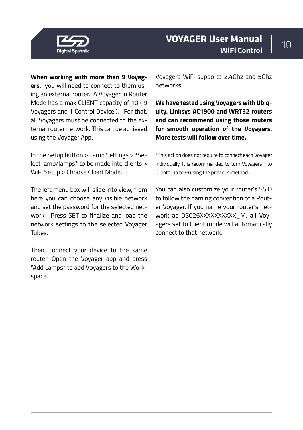

**When working with more than 9 Voyagers,** you will need to connect to them using an external router. A Voyager in Router Mode has a max CLIENT capacity of 10 ( 9 Voyagers and 1 Control Device ). For that, all Voyagers must be connected to the external router network. This can be achieved using the Voyager App.

In the Setup button > Lamp Settings > \*Select lamp/lamps\* to be made into clients > WiFi Setup > Choose Client Mode.

The left menu box will slide into view, from here you can choose any visible network and set the password for the selected network. Press SET to finalize and load the network settings to the selected Voyager Tubes.

Then, connect your device to the same router. Open the Voyager app and press "Add Lamps" to add Voyagers to the Workspace.

Voyagers WiFi supports 2.4Ghz and 5Ghz networks.

**We have tested using Voyagers with Ubiquity, Linksys AC1900 and WRT32 routers and can recommend using those routers for smooth operation of the Voyagers. More tests will follow over time.**

\*This action does not require to connect each Voyager individually. It is recommended to turn Voyagers into Clients (up to 9) using the previous method.

You can also customize your router's SSID to follow the naming convention of a Router Voyager. If you name your router's network as DS026XXXXXXXXXX M, all Voyagers set to Client mode will automatically connect to that network.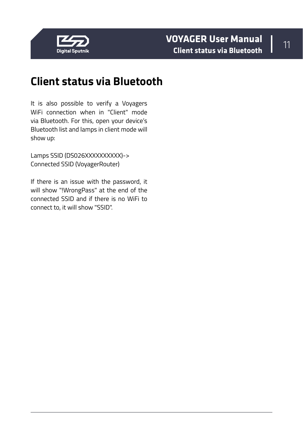<span id="page-10-0"></span>

# **Client status via Bluetooth**

It is also possible to verify a Voyagers WiFi connection when in "Client" mode via Bluetooth. For this, open your device's Bluetooth list and lamps in client mode will show up:

Lamps SSID (DS026XXXXXXXXXXX)-> Connected SSID (VoyagerRouter)

If there is an issue with the password, it will show "!WrongPass" at the end of the connected SSID and if there is no WiFi to connect to, it will show "SSID".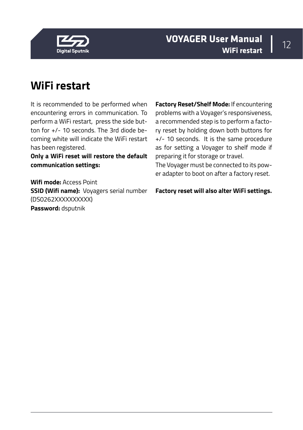<span id="page-11-0"></span>

# **WiFi restart**

It is recommended to be performed when encountering errors in communication. To perform a WiFi restart, press the side button for +/- 10 seconds. The 3rd diode becoming white will indicate the WiFi restart has been registered.

**Only a WiFi reset will restore the default communication settings:**

**Wifi mode:** Access Point **SSID (Wifi name):** Voyagers serial number (DS0262XXXXXXXXXX) **Password:** dsputnik

**Factory Reset/Shelf Mode:** If encountering problems with a Voyager's responsiveness, a recommended step is to perform a factory reset by holding down both buttons for +/- 10 seconds. It is the same procedure as for setting a Voyager to shelf mode if preparing it for storage or travel.

The Voyager must be connected to its power adapter to boot on after a factory reset.

**Factory reset will also alter WiFi settings.**